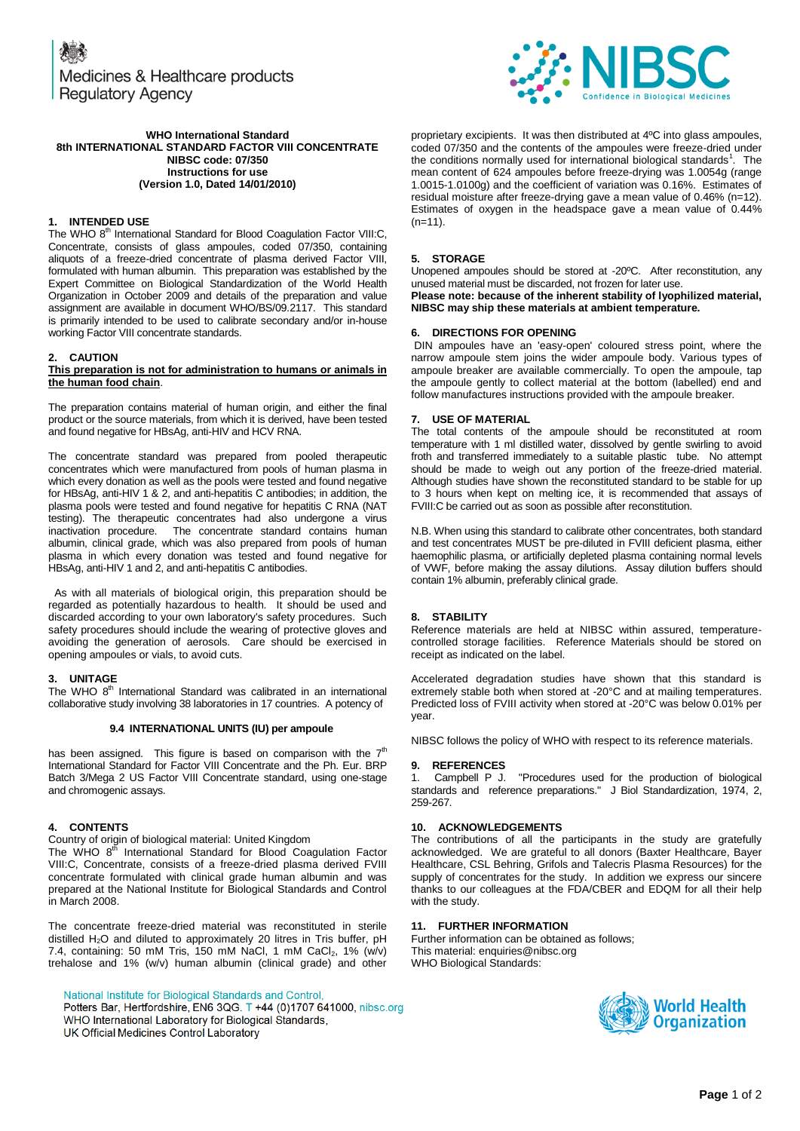Medicines & Healthcare products **Regulatory Agency** 



#### proprietary excipients. It was then distributed at 4ºC into glass ampoules, coded 07/350 and the contents of the ampoules were freeze-dried under the conditions normally used for international biological standards<sup>1</sup>. The mean content of 624 ampoules before freeze-drying was 1.0054g (range 1.0015-1.0100g) and the coefficient of variation was 0.16%. Estimates of residual moisture after freeze-drying gave a mean value of 0.46% (n=12). Estimates of oxygen in the headspace gave a mean value of 0.44%  $(n=11)$ .

# **5. STORAGE**

Unopened ampoules should be stored at -20ºC. After reconstitution, any unused material must be discarded, not frozen for later use.

**Please note: because of the inherent stability of lyophilized material, NIBSC may ship these materials at ambient temperature.**

## **6. DIRECTIONS FOR OPENING**

DIN ampoules have an 'easy-open' coloured stress point, where the narrow ampoule stem joins the wider ampoule body. Various types of ampoule breaker are available commercially. To open the ampoule, tap the ampoule gently to collect material at the bottom (labelled) end and follow manufactures instructions provided with the ampoule breaker.

#### **7. USE OF MATERIAL**

The total contents of the ampoule should be reconstituted at room temperature with 1 ml distilled water, dissolved by gentle swirling to avoid froth and transferred immediately to a suitable plastic tube. No attempt should be made to weigh out any portion of the freeze-dried material. Although studies have shown the reconstituted standard to be stable for up to 3 hours when kept on melting ice, it is recommended that assays of FVIII:C be carried out as soon as possible after reconstitution.

N.B. When using this standard to calibrate other concentrates, both standard and test concentrates MUST be pre-diluted in FVIII deficient plasma, either haemophilic plasma, or artificially depleted plasma containing normal levels of VWF, before making the assay dilutions. Assay dilution buffers should contain 1% albumin, preferably clinical grade.

### **8. STABILITY**

Reference materials are held at NIBSC within assured, temperaturecontrolled storage facilities. Reference Materials should be stored on receipt as indicated on the label.

Accelerated degradation studies have shown that this standard is extremely stable both when stored at -20°C and at mailing temperatures. Predicted loss of FVIII activity when stored at -20°C was below 0.01% per year.

NIBSC follows the policy of WHO with respect to its reference materials.

#### **9. REFERENCES**

1. Campbell P J. "Procedures used for the production of biological standards and reference preparations." J Biol Standardization, 1974, 2, 259-267.

### **10. ACKNOWLEDGEMENTS**

The contributions of all the participants in the study are gratefully acknowledged. We are grateful to all donors (Baxter Healthcare, Bayer Healthcare, CSL Behring, Grifols and Talecris Plasma Resources) for the supply of concentrates for the study. In addition we express our sincere thanks to our colleagues at the FDA/CBER and EDQM for all their help with the study.

### **11. FURTHER INFORMATION**

Further information can be obtained as follows; This material[: enquiries@nibsc.org](mailto:enquiries@nibsc.org) WHO Biological Standards:



**WHO International Standard 8th INTERNATIONAL STANDARD FACTOR VIII CONCENTRATE NIBSC code: 07/350 Instructions for use (Version 1.0, Dated 14/01/2010)**

#### **1. INTENDED USE**

The WHO 8<sup>th</sup> International Standard for Blood Coagulation Factor VIII:C, Concentrate, consists of glass ampoules, coded 07/350, containing aliquots of a freeze-dried concentrate of plasma derived Factor VIII, formulated with human albumin. This preparation was established by the Expert Committee on Biological Standardization of the World Health Organization in October 2009 and details of the preparation and value assignment are available in document WHO/BS/09.2117. This standard is primarily intended to be used to calibrate secondary and/or in-house working Factor VIII concentrate standards.

### **2. CAUTION**

#### **This preparation is not for administration to humans or animals in the human food chain**.

The preparation contains material of human origin, and either the final product or the source materials, from which it is derived, have been tested and found negative for HBsAg, anti-HIV and HCV RNA.

The concentrate standard was prepared from pooled therapeutic concentrates which were manufactured from pools of human plasma in which every donation as well as the pools were tested and found negative for HBsAg, anti-HIV 1 & 2, and anti-hepatitis C antibodies; in addition, the plasma pools were tested and found negative for hepatitis C RNA (NAT testing). The therapeutic concentrates had also undergone a virus inactivation procedure. The concentrate standard contains human albumin, clinical grade, which was also prepared from pools of human plasma in which every donation was tested and found negative for HBsAg, anti-HIV 1 and 2, and anti-hepatitis C antibodies.

 As with all materials of biological origin, this preparation should be regarded as potentially hazardous to health. It should be used and discarded according to your own laboratory's safety procedures. Such safety procedures should include the wearing of protective gloves and avoiding the generation of aerosols. Care should be exercised in opening ampoules or vials, to avoid cuts.

### **3. UNITAGE**

The WHO 8<sup>th</sup> International Standard was calibrated in an international collaborative study involving 38 laboratories in 17 countries. A potency of

## **9.4 INTERNATIONAL UNITS (IU) per ampoule**

has been assigned. This figure is based on comparison with the  $7<sup>th</sup>$ International Standard for Factor VIII Concentrate and the Ph. Eur. BRP Batch 3/Mega 2 US Factor VIII Concentrate standard, using one-stage and chromogenic assays.

## **4. CONTENTS**

Country of origin of biological material: United Kingdom

The WHO 8<sup>th</sup> International Standard for Blood Coagulation Factor VIII:C, Concentrate, consists of a freeze-dried plasma derived FVIII concentrate formulated with clinical grade human albumin and was prepared at the National Institute for Biological Standards and Control in March 2008.

The concentrate freeze-dried material was reconstituted in sterile distilled H<sub>2</sub>O and diluted to approximately 20 litres in Tris buffer, pH 7.4, containing: 50 mM Tris, 150 mM NaCl, 1 mM CaCl<sub>2</sub>, 1% (w/v) trehalose and 1% (w/v) human albumin (clinical grade) and other

National Institute for Biological Standards and Control,

Potters Bar, Hertfordshire, EN6 3QG. T +44 (0)1707 641000, nibsc.org WHO International Laboratory for Biological Standards, UK Official Medicines Control Laboratory